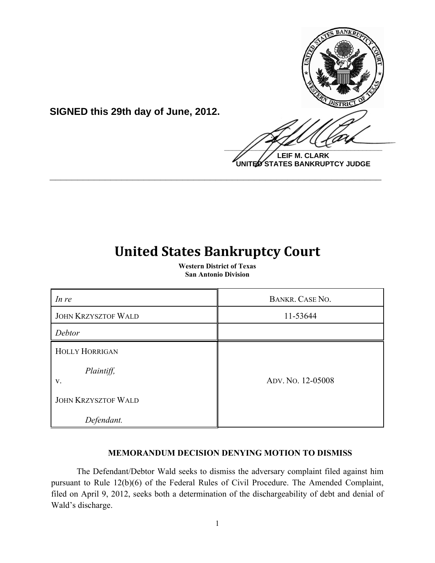

**LEIF M. CLARK UNITED STATES BANKRUPTCY JUDGE**

# **United States Bankruptcy Court**

**\_\_\_\_\_\_\_\_\_\_\_\_\_\_\_\_\_\_\_\_\_\_\_\_\_\_\_\_\_\_\_\_\_\_\_\_\_\_\_\_\_\_\_\_\_\_\_\_\_\_\_\_\_\_\_\_\_\_\_\_**

**SIGNED this 29th day of June, 2012.**

**Western District of Texas San Antonio Division**

| In re                                     | <b>BANKR. CASE NO.</b> |
|-------------------------------------------|------------------------|
| <b>JOHN KRZYSZTOF WALD</b>                | 11-53644               |
| Debtor                                    |                        |
| <b>HOLLY HORRIGAN</b><br>Plaintiff,<br>V. | ADV. No. 12-05008      |
| <b>JOHN KRZYSZTOF WALD</b><br>Defendant.  |                        |

# **MEMORANDUM DECISION DENYING MOTION TO DISMISS**

The Defendant/Debtor Wald seeks to dismiss the adversary complaint filed against him pursuant to Rule 12(b)(6) of the Federal Rules of Civil Procedure. The Amended Complaint, filed on April 9, 2012, seeks both a determination of the dischargeability of debt and denial of Wald's discharge.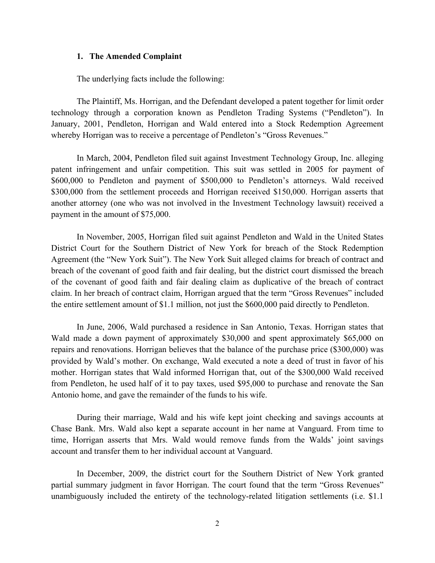#### **1. The Amended Complaint**

The underlying facts include the following:

The Plaintiff, Ms. Horrigan, and the Defendant developed a patent together for limit order technology through a corporation known as Pendleton Trading Systems ("Pendleton"). In January, 2001, Pendleton, Horrigan and Wald entered into a Stock Redemption Agreement whereby Horrigan was to receive a percentage of Pendleton's "Gross Revenues."

In March, 2004, Pendleton filed suit against Investment Technology Group, Inc. alleging patent infringement and unfair competition. This suit was settled in 2005 for payment of \$600,000 to Pendleton and payment of \$500,000 to Pendleton's attorneys. Wald received \$300,000 from the settlement proceeds and Horrigan received \$150,000. Horrigan asserts that another attorney (one who was not involved in the Investment Technology lawsuit) received a payment in the amount of \$75,000.

In November, 2005, Horrigan filed suit against Pendleton and Wald in the United States District Court for the Southern District of New York for breach of the Stock Redemption Agreement (the "New York Suit"). The New York Suit alleged claims for breach of contract and breach of the covenant of good faith and fair dealing, but the district court dismissed the breach of the covenant of good faith and fair dealing claim as duplicative of the breach of contract claim. In her breach of contract claim, Horrigan argued that the term "Gross Revenues" included the entire settlement amount of \$1.1 million, not just the \$600,000 paid directly to Pendleton.

In June, 2006, Wald purchased a residence in San Antonio, Texas. Horrigan states that Wald made a down payment of approximately \$30,000 and spent approximately \$65,000 on repairs and renovations. Horrigan believes that the balance of the purchase price (\$300,000) was provided by Wald's mother. On exchange, Wald executed a note a deed of trust in favor of his mother. Horrigan states that Wald informed Horrigan that, out of the \$300,000 Wald received from Pendleton, he used half of it to pay taxes, used \$95,000 to purchase and renovate the San Antonio home, and gave the remainder of the funds to his wife.

During their marriage, Wald and his wife kept joint checking and savings accounts at Chase Bank. Mrs. Wald also kept a separate account in her name at Vanguard. From time to time, Horrigan asserts that Mrs. Wald would remove funds from the Walds' joint savings account and transfer them to her individual account at Vanguard.

In December, 2009, the district court for the Southern District of New York granted partial summary judgment in favor Horrigan. The court found that the term "Gross Revenues" unambiguously included the entirety of the technology-related litigation settlements (i.e. \$1.1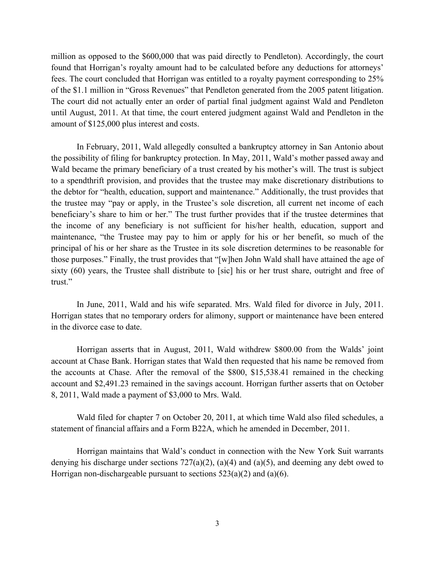million as opposed to the \$600,000 that was paid directly to Pendleton). Accordingly, the court found that Horrigan's royalty amount had to be calculated before any deductions for attorneys' fees. The court concluded that Horrigan was entitled to a royalty payment corresponding to 25% of the \$1.1 million in "Gross Revenues" that Pendleton generated from the 2005 patent litigation. The court did not actually enter an order of partial final judgment against Wald and Pendleton until August, 2011. At that time, the court entered judgment against Wald and Pendleton in the amount of \$125,000 plus interest and costs.

In February, 2011, Wald allegedly consulted a bankruptcy attorney in San Antonio about the possibility of filing for bankruptcy protection. In May, 2011, Wald's mother passed away and Wald became the primary beneficiary of a trust created by his mother's will. The trust is subject to a spendthrift provision, and provides that the trustee may make discretionary distributions to the debtor for "health, education, support and maintenance." Additionally, the trust provides that the trustee may "pay or apply, in the Trustee's sole discretion, all current net income of each beneficiary's share to him or her." The trust further provides that if the trustee determines that the income of any beneficiary is not sufficient for his/her health, education, support and maintenance, "the Trustee may pay to him or apply for his or her benefit, so much of the principal of his or her share as the Trustee in its sole discretion determines to be reasonable for those purposes." Finally, the trust provides that "[w]hen John Wald shall have attained the age of sixty (60) years, the Trustee shall distribute to [sic] his or her trust share, outright and free of trust."

In June, 2011, Wald and his wife separated. Mrs. Wald filed for divorce in July, 2011. Horrigan states that no temporary orders for alimony, support or maintenance have been entered in the divorce case to date.

Horrigan asserts that in August, 2011, Wald withdrew \$800.00 from the Walds' joint account at Chase Bank. Horrigan states that Wald then requested that his name be removed from the accounts at Chase. After the removal of the \$800, \$15,538.41 remained in the checking account and \$2,491.23 remained in the savings account. Horrigan further asserts that on October 8, 2011, Wald made a payment of \$3,000 to Mrs. Wald.

Wald filed for chapter 7 on October 20, 2011, at which time Wald also filed schedules, a statement of financial affairs and a Form B22A, which he amended in December, 2011.

Horrigan maintains that Wald's conduct in connection with the New York Suit warrants denying his discharge under sections  $727(a)(2)$ ,  $(a)(4)$  and  $(a)(5)$ , and deeming any debt owed to Horrigan non-dischargeable pursuant to sections  $523(a)(2)$  and  $(a)(6)$ .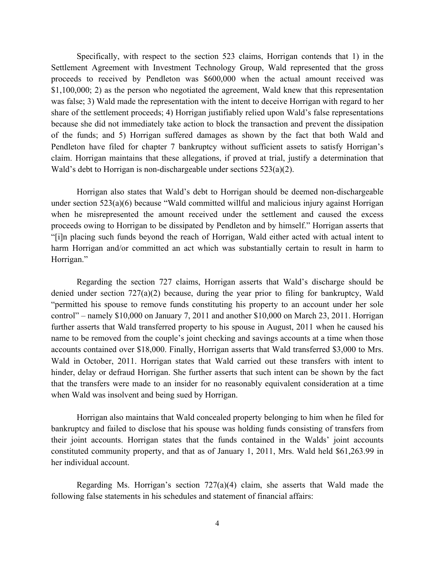Specifically, with respect to the section 523 claims, Horrigan contends that 1) in the Settlement Agreement with Investment Technology Group, Wald represented that the gross proceeds to received by Pendleton was \$600,000 when the actual amount received was \$1,100,000; 2) as the person who negotiated the agreement. Wald knew that this representation was false; 3) Wald made the representation with the intent to deceive Horrigan with regard to her share of the settlement proceeds; 4) Horrigan justifiably relied upon Wald's false representations because she did not immediately take action to block the transaction and prevent the dissipation of the funds; and 5) Horrigan suffered damages as shown by the fact that both Wald and Pendleton have filed for chapter 7 bankruptcy without sufficient assets to satisfy Horrigan's claim. Horrigan maintains that these allegations, if proved at trial, justify a determination that Wald's debt to Horrigan is non-dischargeable under sections 523(a)(2).

Horrigan also states that Wald's debt to Horrigan should be deemed non-dischargeable under section 523(a)(6) because "Wald committed willful and malicious injury against Horrigan when he misrepresented the amount received under the settlement and caused the excess proceeds owing to Horrigan to be dissipated by Pendleton and by himself." Horrigan asserts that "[i]n placing such funds beyond the reach of Horrigan, Wald either acted with actual intent to harm Horrigan and/or committed an act which was substantially certain to result in harm to Horrigan."

Regarding the section 727 claims, Horrigan asserts that Wald's discharge should be denied under section 727(a)(2) because, during the year prior to filing for bankruptcy, Wald "permitted his spouse to remove funds constituting his property to an account under her sole control" – namely \$10,000 on January 7, 2011 and another \$10,000 on March 23, 2011. Horrigan further asserts that Wald transferred property to his spouse in August, 2011 when he caused his name to be removed from the couple's joint checking and savings accounts at a time when those accounts contained over \$18,000. Finally, Horrigan asserts that Wald transferred \$3,000 to Mrs. Wald in October, 2011. Horrigan states that Wald carried out these transfers with intent to hinder, delay or defraud Horrigan. She further asserts that such intent can be shown by the fact that the transfers were made to an insider for no reasonably equivalent consideration at a time when Wald was insolvent and being sued by Horrigan.

Horrigan also maintains that Wald concealed property belonging to him when he filed for bankruptcy and failed to disclose that his spouse was holding funds consisting of transfers from their joint accounts. Horrigan states that the funds contained in the Walds' joint accounts constituted community property, and that as of January 1, 2011, Mrs. Wald held \$61,263.99 in her individual account.

Regarding Ms. Horrigan's section 727(a)(4) claim, she asserts that Wald made the following false statements in his schedules and statement of financial affairs: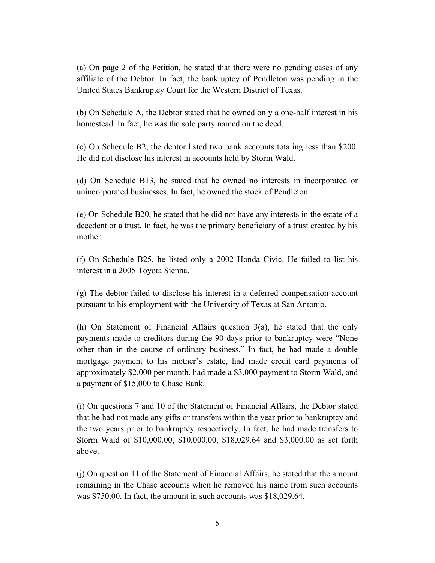(a) On page 2 of the Petition, he stated that there were no pending cases of any affiliate of the Debtor. In fact, the bankruptcy of Pendleton was pending in the United States Bankruptcy Court for the Western District of Texas.

(b) On Schedule A, the Debtor stated that he owned only a one-half interest in his homestead. In fact, he was the sole party named on the deed.

(c) On Schedule B2, the debtor listed two bank accounts totaling less than \$200. He did not disclose his interest in accounts held by Storm Wald.

(d) On Schedule B13, he stated that he owned no interests in incorporated or unincorporated businesses. In fact, he owned the stock of Pendleton.

(e) On Schedule B20, he stated that he did not have any interests in the estate of a decedent or a trust. In fact, he was the primary beneficiary of a trust created by his mother.

(f) On Schedule B25, he listed only a 2002 Honda Civic. He failed to list his interest in a 2005 Toyota Sienna.

(g) The debtor failed to disclose his interest in a deferred compensation account pursuant to his employment with the University of Texas at San Antonio.

(h) On Statement of Financial Affairs question 3(a), he stated that the only payments made to creditors during the 90 days prior to bankruptcy were "None other than in the course of ordinary business." In fact, he had made a double mortgage payment to his mother's estate, had made credit card payments of approximately \$2,000 per month, had made a \$3,000 payment to Storm Wald, and a payment of \$15,000 to Chase Bank.

(i) On questions 7 and 10 of the Statement of Financial Affairs, the Debtor stated that he had not made any gifts or transfers within the year prior to bankruptcy and the two years prior to bankruptcy respectively. In fact, he had made transfers to Storm Wald of \$10,000.00, \$10,000.00, \$18,029.64 and \$3,000.00 as set forth above.

(j) On question 11 of the Statement of Financial Affairs, he stated that the amount remaining in the Chase accounts when he removed his name from such accounts was \$750.00. In fact, the amount in such accounts was \$18,029.64.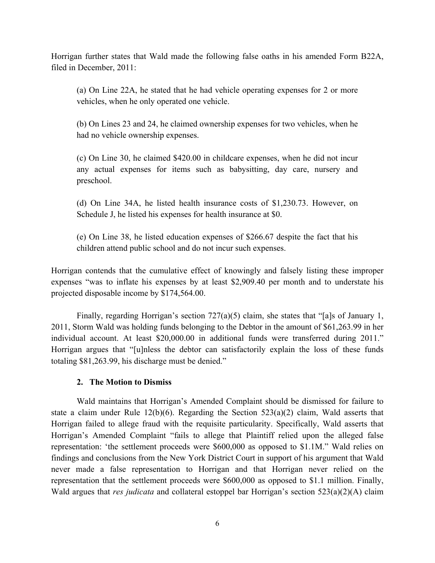Horrigan further states that Wald made the following false oaths in his amended Form B22A, filed in December, 2011:

(a) On Line 22A, he stated that he had vehicle operating expenses for 2 or more vehicles, when he only operated one vehicle.

(b) On Lines 23 and 24, he claimed ownership expenses for two vehicles, when he had no vehicle ownership expenses.

(c) On Line 30, he claimed \$420.00 in childcare expenses, when he did not incur any actual expenses for items such as babysitting, day care, nursery and preschool.

(d) On Line 34A, he listed health insurance costs of \$1,230.73. However, on Schedule J, he listed his expenses for health insurance at \$0.

(e) On Line 38, he listed education expenses of \$266.67 despite the fact that his children attend public school and do not incur such expenses.

Horrigan contends that the cumulative effect of knowingly and falsely listing these improper expenses "was to inflate his expenses by at least \$2,909.40 per month and to understate his projected disposable income by \$174,564.00.

Finally, regarding Horrigan's section 727(a)(5) claim, she states that "[a]s of January 1, 2011, Storm Wald was holding funds belonging to the Debtor in the amount of \$61,263.99 in her individual account. At least \$20,000.00 in additional funds were transferred during 2011." Horrigan argues that "[u]nless the debtor can satisfactorily explain the loss of these funds totaling \$81,263.99, his discharge must be denied."

# **2. The Motion to Dismiss**

Wald maintains that Horrigan's Amended Complaint should be dismissed for failure to state a claim under Rule  $12(b)(6)$ . Regarding the Section  $523(a)(2)$  claim, Wald asserts that Horrigan failed to allege fraud with the requisite particularity. Specifically, Wald asserts that Horrigan's Amended Complaint "fails to allege that Plaintiff relied upon the alleged false representation: 'the settlement proceeds were \$600,000 as opposed to \$1.1M." Wald relies on findings and conclusions from the New York District Court in support of his argument that Wald never made a false representation to Horrigan and that Horrigan never relied on the representation that the settlement proceeds were \$600,000 as opposed to \$1.1 million. Finally, Wald argues that *res judicata* and collateral estoppel bar Horrigan's section 523(a)(2)(A) claim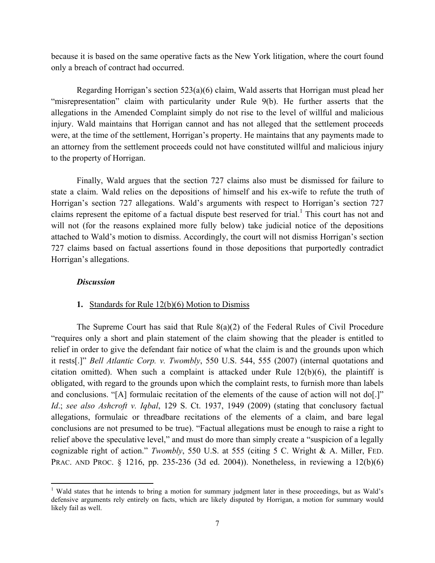because it is based on the same operative facts as the New York litigation, where the court found only a breach of contract had occurred.

Regarding Horrigan's section 523(a)(6) claim, Wald asserts that Horrigan must plead her "misrepresentation" claim with particularity under Rule 9(b). He further asserts that the allegations in the Amended Complaint simply do not rise to the level of willful and malicious injury. Wald maintains that Horrigan cannot and has not alleged that the settlement proceeds were, at the time of the settlement, Horrigan's property. He maintains that any payments made to an attorney from the settlement proceeds could not have constituted willful and malicious injury to the property of Horrigan.

Finally, Wald argues that the section 727 claims also must be dismissed for failure to state a claim. Wald relies on the depositions of himself and his ex-wife to refute the truth of Horrigan's section 727 allegations. Wald's arguments with respect to Horrigan's section 727 claims represent the epitome of a factual dispute best reserved for trial.<sup>1</sup> This court has not and will not (for the reasons explained more fully below) take judicial notice of the depositions attached to Wald's motion to dismiss. Accordingly, the court will not dismiss Horrigan's section 727 claims based on factual assertions found in those depositions that purportedly contradict Horrigan's allegations.

## *Discussion*

!!!!!!!!!!!!!!!!!!!!!!!!!!!!!!!!!!!!!!!!!!!!!!!!!!!!!!!!!!!

#### **1.** Standards for Rule 12(b)(6) Motion to Dismiss

The Supreme Court has said that Rule  $8(a)(2)$  of the Federal Rules of Civil Procedure "requires only a short and plain statement of the claim showing that the pleader is entitled to relief in order to give the defendant fair notice of what the claim is and the grounds upon which it rests[.]" *Bell Atlantic Corp. v. Twombly*, 550 U.S. 544, 555 (2007) (internal quotations and citation omitted). When such a complaint is attacked under Rule 12(b)(6), the plaintiff is obligated, with regard to the grounds upon which the complaint rests, to furnish more than labels and conclusions. "[A] formulaic recitation of the elements of the cause of action will not do[.]" *Id*.; *see also Ashcroft v. Iqbal*, 129 S. Ct. 1937, 1949 (2009) (stating that conclusory factual allegations, formulaic or threadbare recitations of the elements of a claim, and bare legal conclusions are not presumed to be true). "Factual allegations must be enough to raise a right to relief above the speculative level," and must do more than simply create a "suspicion of a legally cognizable right of action." *Twombly*, 550 U.S. at 555 (citing 5 C. Wright & A. Miller, FED. PRAC. AND PROC. § 1216, pp. 235-236 (3d ed. 2004)). Nonetheless, in reviewing a 12(b)(6)

<sup>&</sup>lt;sup>1</sup> Wald states that he intends to bring a motion for summary judgment later in these proceedings, but as Wald's defensive arguments rely entirely on facts, which are likely disputed by Horrigan, a motion for summary would likely fail as well.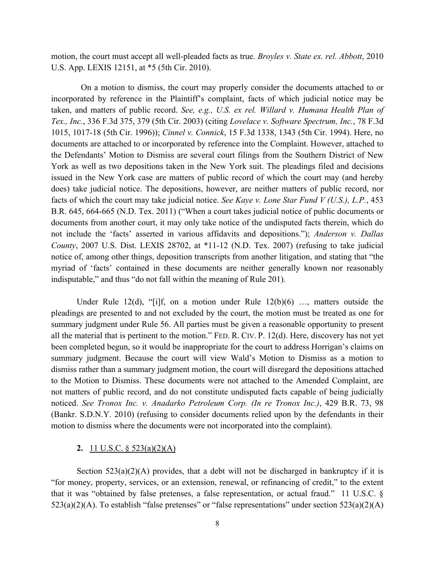motion, the court must accept all well-pleaded facts as true. *Broyles v. State ex. rel. Abbott*, 2010 U.S. App. LEXIS 12151, at \*5 (5th Cir. 2010).

 On a motion to dismiss, the court may properly consider the documents attached to or incorporated by reference in the Plaintiff's complaint, facts of which judicial notice may be taken, and matters of public record. *See, e.g., U.S. ex rel. Willard v. Humana Health Plan of Tex., Inc.*, 336 F.3d 375, 379 (5th Cir. 2003) (citing *Lovelace v. Software Spectrum, Inc.*, 78 F.3d 1015, 1017-18 (5th Cir. 1996)); *Cinnel v. Connick*, 15 F.3d 1338, 1343 (5th Cir. 1994). Here, no documents are attached to or incorporated by reference into the Complaint. However, attached to the Defendants' Motion to Dismiss are several court filings from the Southern District of New York as well as two depositions taken in the New York suit. The pleadings filed and decisions issued in the New York case are matters of public record of which the court may (and hereby does) take judicial notice. The depositions, however, are neither matters of public record, nor facts of which the court may take judicial notice. *See Kaye v. Lone Star Fund V (U.S.), L.P.*, 453 B.R. 645, 664-665 (N.D. Tex. 2011) ("When a court takes judicial notice of public documents or documents from another court, it may only take notice of the undisputed facts therein, which do not include the 'facts' asserted in various affidavits and depositions."); *Anderson v. Dallas County*, 2007 U.S. Dist. LEXIS 28702, at \*11-12 (N.D. Tex. 2007) (refusing to take judicial notice of, among other things, deposition transcripts from another litigation, and stating that "the myriad of 'facts' contained in these documents are neither generally known nor reasonably indisputable," and thus "do not fall within the meaning of Rule 201).

Under Rule 12(d), "[i]f, on a motion under Rule  $12(b)(6)$  ..., matters outside the pleadings are presented to and not excluded by the court, the motion must be treated as one for summary judgment under Rule 56. All parties must be given a reasonable opportunity to present all the material that is pertinent to the motion." FED. R. CIV. P. 12(d). Here, discovery has not yet been completed begun, so it would be inappropriate for the court to address Horrigan's claims on summary judgment. Because the court will view Wald's Motion to Dismiss as a motion to dismiss rather than a summary judgment motion, the court will disregard the depositions attached to the Motion to Dismiss. These documents were not attached to the Amended Complaint, are not matters of public record, and do not constitute undisputed facts capable of being judicially noticed. *See Tronox Inc. v. Anadarko Petroleum Corp. (In re Tronox Inc.)*, 429 B.R. 73, 98 (Bankr. S.D.N.Y. 2010) (refusing to consider documents relied upon by the defendants in their motion to dismiss where the documents were not incorporated into the complaint).

## **2.** 11 U.S.C. § 523(a)(2)(A)

Section  $523(a)(2)(A)$  provides, that a debt will not be discharged in bankruptcy if it is "for money, property, services, or an extension, renewal, or refinancing of credit," to the extent that it was "obtained by false pretenses, a false representation, or actual fraud." 11 U.S.C. §  $523(a)(2)(A)$ . To establish "false pretenses" or "false representations" under section  $523(a)(2)(A)$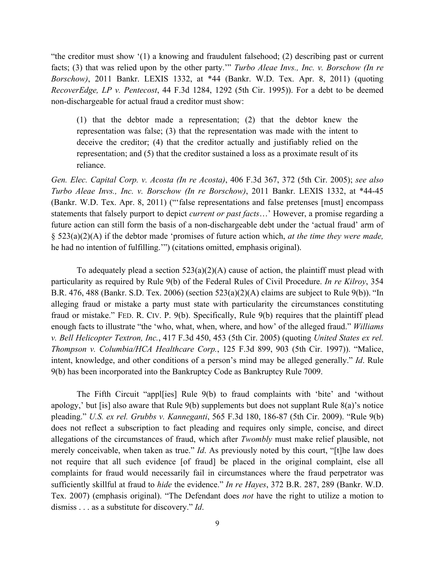"the creditor must show '(1) a knowing and fraudulent falsehood; (2) describing past or current facts; (3) that was relied upon by the other party.'" *Turbo Aleae Invs., Inc. v. Borschow (In re Borschow)*, 2011 Bankr. LEXIS 1332, at \*44 (Bankr. W.D. Tex. Apr. 8, 2011) (quoting *RecoverEdge, LP v. Pentecost*, 44 F.3d 1284, 1292 (5th Cir. 1995)). For a debt to be deemed non-dischargeable for actual fraud a creditor must show:

(1) that the debtor made a representation; (2) that the debtor knew the representation was false; (3) that the representation was made with the intent to deceive the creditor; (4) that the creditor actually and justifiably relied on the representation; and (5) that the creditor sustained a loss as a proximate result of its reliance.

*Gen. Elec. Capital Corp. v. Acosta (In re Acosta)*, 406 F.3d 367, 372 (5th Cir. 2005); *see also Turbo Aleae Invs., Inc. v. Borschow (In re Borschow)*, 2011 Bankr. LEXIS 1332, at \*44-45 (Bankr. W.D. Tex. Apr. 8, 2011) ("'false representations and false pretenses [must] encompass statements that falsely purport to depict *current or past facts*…' However, a promise regarding a future action can still form the basis of a non-dischargeable debt under the 'actual fraud' arm of § 523(a)(2)(A) if the debtor made 'promises of future action which, *at the time they were made,* he had no intention of fulfilling.'") (citations omitted, emphasis original).

To adequately plead a section  $523(a)(2)(A)$  cause of action, the plaintiff must plead with particularity as required by Rule 9(b) of the Federal Rules of Civil Procedure. *In re Kilroy*, 354 B.R. 476, 488 (Bankr. S.D. Tex. 2006) (section 523(a)(2)(A) claims are subject to Rule 9(b)). "In alleging fraud or mistake a party must state with particularity the circumstances constituting fraud or mistake." FED. R. CIV. P. 9(b). Specifically, Rule 9(b) requires that the plaintiff plead enough facts to illustrate "the 'who, what, when, where, and how' of the alleged fraud." *Williams v. Bell Helicopter Textron, Inc.*, 417 F.3d 450, 453 (5th Cir. 2005) (quoting *United States ex rel. Thompson v. Columbia/HCA Healthcare Corp.*, 125 F.3d 899, 903 (5th Cir. 1997)). "Malice, intent, knowledge, and other conditions of a person's mind may be alleged generally." *Id*. Rule 9(b) has been incorporated into the Bankruptcy Code as Bankruptcy Rule 7009.

The Fifth Circuit "appl[ies] Rule 9(b) to fraud complaints with 'bite' and 'without apology,' but [is] also aware that Rule 9(b) supplements but does not supplant Rule 8(a)'s notice pleading." *U.S. ex rel. Grubbs v. Kanneganti*, 565 F.3d 180, 186-87 (5th Cir. 2009). "Rule 9(b) does not reflect a subscription to fact pleading and requires only simple, concise, and direct allegations of the circumstances of fraud, which after *Twombly* must make relief plausible, not merely conceivable, when taken as true." *Id*. As previously noted by this court, "[t]he law does not require that all such evidence [of fraud] be placed in the original complaint, else all complaints for fraud would necessarily fail in circumstances where the fraud perpetrator was sufficiently skillful at fraud to *hide* the evidence." *In re Hayes*, 372 B.R. 287, 289 (Bankr. W.D. Tex. 2007) (emphasis original). "The Defendant does *not* have the right to utilize a motion to dismiss . . . as a substitute for discovery." *Id*.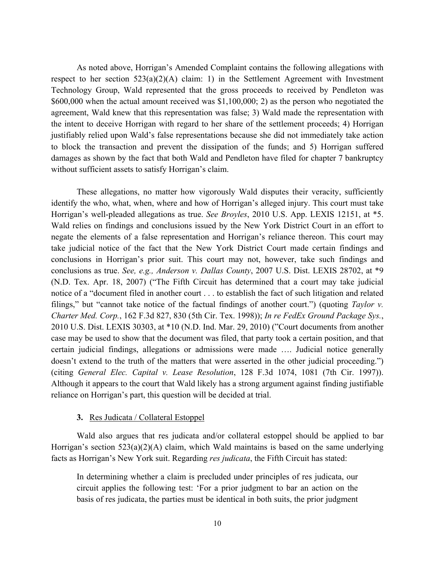As noted above, Horrigan's Amended Complaint contains the following allegations with respect to her section  $523(a)(2)(A)$  claim: 1) in the Settlement Agreement with Investment Technology Group, Wald represented that the gross proceeds to received by Pendleton was \$600,000 when the actual amount received was \$1,100,000; 2) as the person who negotiated the agreement, Wald knew that this representation was false; 3) Wald made the representation with the intent to deceive Horrigan with regard to her share of the settlement proceeds; 4) Horrigan justifiably relied upon Wald's false representations because she did not immediately take action to block the transaction and prevent the dissipation of the funds; and 5) Horrigan suffered damages as shown by the fact that both Wald and Pendleton have filed for chapter 7 bankruptcy without sufficient assets to satisfy Horrigan's claim.

These allegations, no matter how vigorously Wald disputes their veracity, sufficiently identify the who, what, when, where and how of Horrigan's alleged injury. This court must take Horrigan's well-pleaded allegations as true. *See Broyles*, 2010 U.S. App. LEXIS 12151, at \*5. Wald relies on findings and conclusions issued by the New York District Court in an effort to negate the elements of a false representation and Horrigan's reliance thereon. This court may take judicial notice of the fact that the New York District Court made certain findings and conclusions in Horrigan's prior suit. This court may not, however, take such findings and conclusions as true. *See, e.g., Anderson v. Dallas County*, 2007 U.S. Dist. LEXIS 28702, at \*9 (N.D. Tex. Apr. 18, 2007) ("The Fifth Circuit has determined that a court may take judicial notice of a "document filed in another court . . . to establish the fact of such litigation and related filings," but "cannot take notice of the factual findings of another court.") (quoting *Taylor v. Charter Med. Corp.*, 162 F.3d 827, 830 (5th Cir. Tex. 1998)); *In re FedEx Ground Package Sys.*, 2010 U.S. Dist. LEXIS 30303, at \*10 (N.D. Ind. Mar. 29, 2010) ("Court documents from another case may be used to show that the document was filed, that party took a certain position, and that certain judicial findings, allegations or admissions were made …. Judicial notice generally doesn't extend to the truth of the matters that were asserted in the other judicial proceeding.") (citing *General Elec. Capital v. Lease Resolution*, 128 F.3d 1074, 1081 (7th Cir. 1997)). Although it appears to the court that Wald likely has a strong argument against finding justifiable reliance on Horrigan's part, this question will be decided at trial.

## **3.** Res Judicata / Collateral Estoppel

Wald also argues that res judicata and/or collateral estoppel should be applied to bar Horrigan's section 523(a)(2)(A) claim, which Wald maintains is based on the same underlying facts as Horrigan's New York suit. Regarding *res judicata*, the Fifth Circuit has stated:

In determining whether a claim is precluded under principles of res judicata, our circuit applies the following test: 'For a prior judgment to bar an action on the basis of res judicata, the parties must be identical in both suits, the prior judgment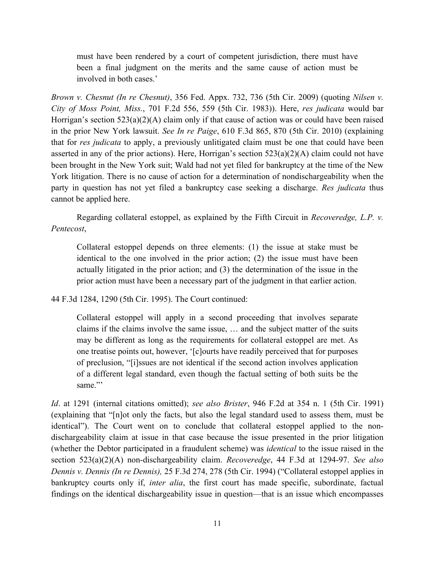must have been rendered by a court of competent jurisdiction, there must have been a final judgment on the merits and the same cause of action must be involved in both cases.'

*Brown v. Chesnut (In re Chesnut)*, 356 Fed. Appx. 732, 736 (5th Cir. 2009) (quoting *Nilsen v. City of Moss Point, Miss.*, 701 F.2d 556, 559 (5th Cir. 1983)). Here, *res judicata* would bar Horrigan's section 523(a)(2)(A) claim only if that cause of action was or could have been raised in the prior New York lawsuit. *See In re Paige*, 610 F.3d 865, 870 (5th Cir. 2010) (explaining that for *res judicata* to apply, a previously unlitigated claim must be one that could have been asserted in any of the prior actions). Here, Horrigan's section 523(a)(2)(A) claim could not have been brought in the New York suit; Wald had not yet filed for bankruptcy at the time of the New York litigation. There is no cause of action for a determination of nondischargeability when the party in question has not yet filed a bankruptcy case seeking a discharge. *Res judicata* thus cannot be applied here.

Regarding collateral estoppel, as explained by the Fifth Circuit in *Recoveredge, L.P. v. Pentecost*,

Collateral estoppel depends on three elements: (1) the issue at stake must be identical to the one involved in the prior action; (2) the issue must have been actually litigated in the prior action; and (3) the determination of the issue in the prior action must have been a necessary part of the judgment in that earlier action.

44 F.3d 1284, 1290 (5th Cir. 1995). The Court continued:

Collateral estoppel will apply in a second proceeding that involves separate claims if the claims involve the same issue, … and the subject matter of the suits may be different as long as the requirements for collateral estoppel are met. As one treatise points out, however, '[c]ourts have readily perceived that for purposes of preclusion, "[i]ssues are not identical if the second action involves application of a different legal standard, even though the factual setting of both suits be the same<sup>"</sup>

*Id*. at 1291 (internal citations omitted); *see also Brister*, 946 F.2d at 354 n. 1 (5th Cir. 1991) (explaining that "[n]ot only the facts, but also the legal standard used to assess them, must be identical"). The Court went on to conclude that collateral estoppel applied to the nondischargeability claim at issue in that case because the issue presented in the prior litigation (whether the Debtor participated in a fraudulent scheme) was *identical* to the issue raised in the section 523(a)(2)(A) non-dischargeability claim. *Recoveredge*, 44 F.3d at 1294-97. *See also Dennis v. Dennis (In re Dennis),* 25 F.3d 274, 278 (5th Cir. 1994) ("Collateral estoppel applies in bankruptcy courts only if, *inter alia*, the first court has made specific, subordinate, factual findings on the identical dischargeability issue in question—that is an issue which encompasses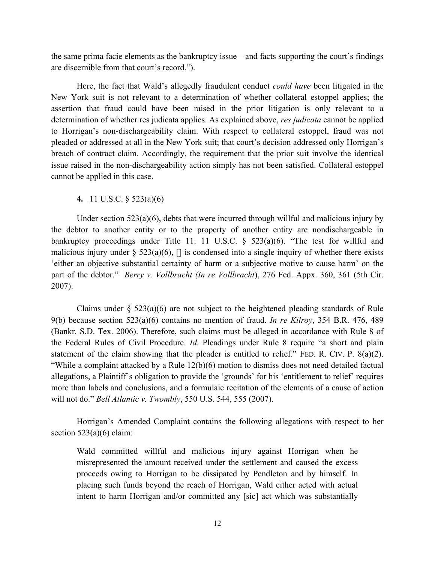the same prima facie elements as the bankruptcy issue—and facts supporting the court's findings are discernible from that court's record.").

Here, the fact that Wald's allegedly fraudulent conduct *could have* been litigated in the New York suit is not relevant to a determination of whether collateral estoppel applies; the assertion that fraud could have been raised in the prior litigation is only relevant to a determination of whether res judicata applies. As explained above, *res judicata* cannot be applied to Horrigan's non-dischargeability claim. With respect to collateral estoppel, fraud was not pleaded or addressed at all in the New York suit; that court's decision addressed only Horrigan's breach of contract claim. Accordingly, the requirement that the prior suit involve the identical issue raised in the non-dischargeability action simply has not been satisfied. Collateral estoppel cannot be applied in this case.

# **4.** 11 U.S.C. § 523(a)(6)

Under section  $523(a)(6)$ , debts that were incurred through willful and malicious injury by the debtor to another entity or to the property of another entity are nondischargeable in bankruptcy proceedings under Title 11. 11 U.S.C. § 523(a)(6). "The test for willful and malicious injury under  $\S$  523(a)(6),  $\Box$  is condensed into a single inquiry of whether there exists 'either an objective substantial certainty of harm or a subjective motive to cause harm' on the part of the debtor." *Berry v. Vollbracht (In re Vollbracht*), 276 Fed. Appx. 360, 361 (5th Cir. 2007).

Claims under  $\S$  523(a)(6) are not subject to the heightened pleading standards of Rule 9(b) because section 523(a)(6) contains no mention of fraud. *In re Kilroy*, 354 B.R. 476, 489 (Bankr. S.D. Tex. 2006). Therefore, such claims must be alleged in accordance with Rule 8 of the Federal Rules of Civil Procedure. *Id*. Pleadings under Rule 8 require "a short and plain statement of the claim showing that the pleader is entitled to relief." FED. R. CIV. P.  $8(a)(2)$ . "While a complaint attacked by a Rule 12(b)(6) motion to dismiss does not need detailed factual allegations, a Plaintiff's obligation to provide the 'grounds' for his 'entitlement to relief' requires more than labels and conclusions, and a formulaic recitation of the elements of a cause of action will not do." *Bell Atlantic v. Twombly*, 550 U.S. 544, 555 (2007).

Horrigan's Amended Complaint contains the following allegations with respect to her section  $523(a)(6)$  claim:

Wald committed willful and malicious injury against Horrigan when he misrepresented the amount received under the settlement and caused the excess proceeds owing to Horrigan to be dissipated by Pendleton and by himself. In placing such funds beyond the reach of Horrigan, Wald either acted with actual intent to harm Horrigan and/or committed any [sic] act which was substantially